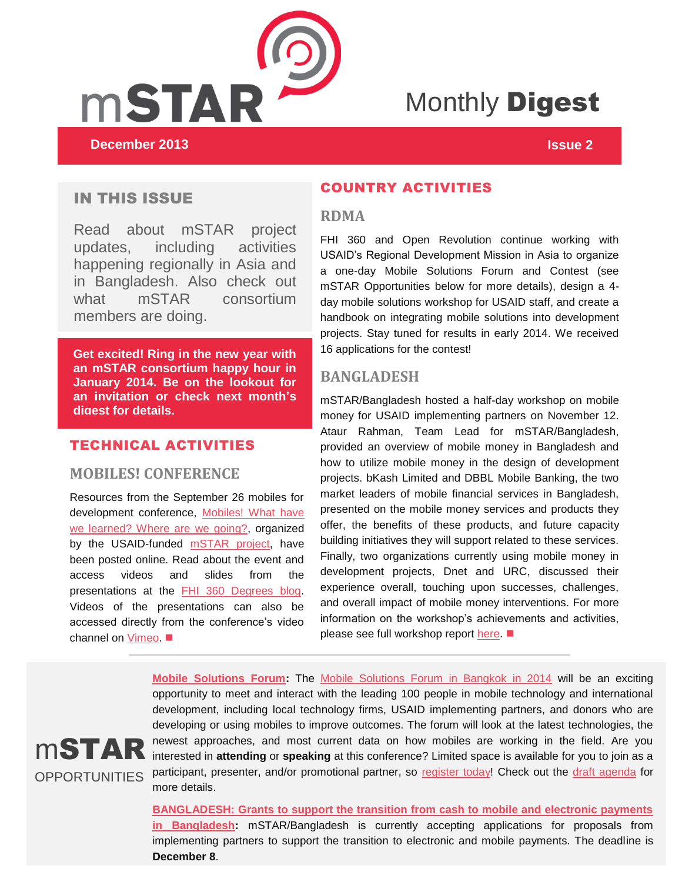

# Monthly **Digest**

## IN THIS ISSUE

Read about mSTAR project updates, including activities happening regionally in Asia and in Bangladesh. Also check out what mSTAR consortium members are doing.

**Get excited! Ring in the new year with an mSTAR consortium happy hour in January 2014. Be on the lookout for an invitation or check next month's digest for details.**

### TECHNICAL ACTIVITIES

#### **MOBILES! CONFERENCE**

Resources from the September 26 mobiles for development conference, [Mobiles! What have](http://mobiledevconference.com/)  [we learned? Where are we going?,](http://mobiledevconference.com/) organized by the USAID-funded **mSTAR** project, have been posted online. Read about the event and access videos and slides from the presentations at the [FHI 360 Degrees blog.](http://degrees.fhi360.org/2013/11/mobiles-event-highlights-experimentation-opportunity-for-mobile-phones-for-development/) Videos of the presentations can also be accessed directly from the conference's video channel on [Vimeo.](http://vimeo.com/channels/mobilesconference/) ■

#### COUNTRY ACTIVITIES

#### **RDMA**

FHI 360 and Open Revolution continue working with USAID's Regional Development Mission in Asia to organize a one-day Mobile Solutions Forum and Contest (see mSTAR Opportunities below for more details), design a 4 day mobile solutions workshop for USAID staff, and create a handbook on integrating mobile solutions into development projects. Stay tuned for results in early 2014. We received 16 applications for the contest!

#### **BANGLADESH**

mSTAR/Bangladesh hosted a half-day workshop on mobile money for USAID implementing partners on November 12. Ataur Rahman, Team Lead for mSTAR/Bangladesh, provided an overview of mobile money in Bangladesh and how to utilize mobile money in the design of development projects. bKash Limited and DBBL Mobile Banking, the two market leaders of mobile financial services in Bangladesh, presented on the mobile money services and products they offer, the benefits of these products, and future capacity building initiatives they will support related to these services. Finally, two organizations currently using mobile money in development projects, Dnet and URC, discussed their experience overall, touching upon successes, challenges, and overall impact of mobile money interventions. For more information on the workshop's achievements and activities, please see full workshop report [here.](http://www.microlinks.org/library/workshop-%E2%80%98mstar-introduction-mobile-money-and-grants%E2%80%99) ■



**[Mobile Solutions Forum:](https://www.surveymonkey.com/s/M4D2014)** The [Mobile Solutions Forum in Bangkok in 2014](http://m4dasia2014.com/) will be an exciting opportunity to meet and interact with the leading 100 people in mobile technology and international development, including local technology firms, USAID implementing partners, and donors who are developing or using mobiles to improve outcomes. The forum will look at the latest technologies, the newest approaches, and most current data on how mobiles are working in the field. Are you interested in **attending** or **speaking** at this conference? Limited space is available for you to join as a OPPORTUNITIES participant, presenter, and/or promotional partner, so [register today!](https://www.surveymonkey.com/s/M4D2014) Check out the [draft agenda](http://ictworks.us4.list-manage2.com/track/click?u=84e9f392a668e74df589375c7&id=77d3cf099d&e=c60c11289c) for more details.

> **[BANGLADESH: Grants to support the transition from cash to mobile and electronic payments](http://www.fhi360.org/partner-us/solicitations-goods-services)  [in Bangladesh:](http://www.fhi360.org/partner-us/solicitations-goods-services)** mSTAR/Bangladesh is currently accepting applications for proposals from [implementing partners to support the transition to electronic and mobile payments. The deadline is](https://www.surveymonkey.com/s/M4D2014)  **[December 8](https://www.surveymonkey.com/s/M4D2014)**.